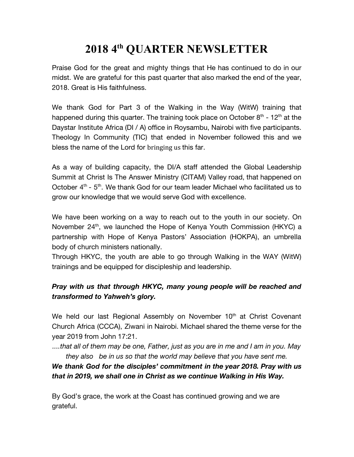### **2018 4 th QUARTER NEWSLETTER**

Praise God for the great and mighty things that He has continued to do in our midst. We are grateful for this past quarter that also marked the end of the year, 2018. Great is His faithfulness.

We thank God for Part 3 of the Walking in the Way (WitW) training that happened during this quarter. The training took place on October  $8<sup>th</sup>$  - 12<sup>th</sup> at the Daystar Institute Africa (DI / A) office in Roysambu, Nairobi with five participants. Theology In Community (TIC) that ended in November followed this and we bless the name of the Lord for bringing us this far.

As a way of building capacity, the DI/A staff attended the Global Leadership Summit at Christ Is The Answer Ministry (CITAM) Valley road, that happened on October 4<sup>th</sup> - 5<sup>th</sup>. We thank God for our team leader Michael who facilitated us to grow our knowledge that we would serve God with excellence.

We have been working on a way to reach out to the youth in our society. On November 24<sup>th</sup>, we launched the Hope of Kenya Youth Commission (HKYC) a partnership with Hope of Kenya Pastors' Association (HOKPA), an umbrella body of church ministers nationally.

Through HKYC, the youth are able to go through Walking in the WAY (WitW) trainings and be equipped for discipleship and leadership.

#### *Pray with us that through HKYC, many young people will be reached and transformed to Yahweh's glory.*

We held our last Regional Assembly on November 10<sup>th</sup> at Christ Covenant Church Africa (CCCA), Ziwani in Nairobi. Michael shared the theme verse for the year 2019 from John 17:21.

*....that all of them may be one, Father, just as you are in me and I am in you. May they also be in us so that the world may believe that you have sent me.*

#### *We thank God for the disciples' commitment in the year 2018. Pray with us that in 2019, we shall one in Christ as we continue Walking in His Way.*

By God's grace, the work at the Coast has continued growing and we are grateful.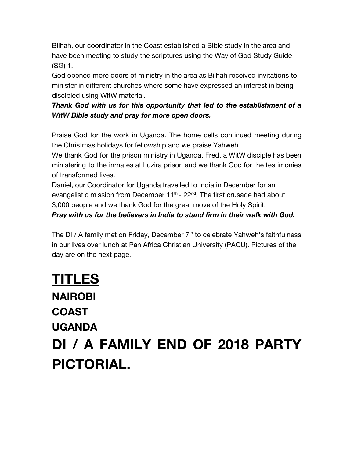Bilhah, our coordinator in the Coast established a Bible study in the area and have been meeting to study the scriptures using the Way of God Study Guide (SG) 1.

God opened more doors of ministry in the area as Bilhah received invitations to minister in different churches where some have expressed an interest in being discipled using WitW material.

*Thank God with us for this opportunity that led to the establishment of a WitW Bible study and pray for more open doors.*

Praise God for the work in Uganda. The home cells continued meeting during the Christmas holidays for fellowship and we praise Yahweh.

We thank God for the prison ministry in Uganda. Fred, a WitW disciple has been ministering to the inmates at Luzira prison and we thank God for the testimonies of transformed lives.

Daniel, our Coordinator for Uganda travelled to India in December for an evangelistic mission from December 11<sup>th</sup> - 22<sup>nd</sup>. The first crusade had about 3,000 people and we thank God for the great move of the Holy Spirit.

*Pray with us for the believers in India to stand firm in their walk with God.*

The DI / A family met on Friday, December 7<sup>th</sup> to celebrate Yahweh's faithfulness in our lives over lunch at Pan Africa Christian University (PACU). Pictures of the day are on the next page.

## **TITLES NAIROBI COAST UGANDA DI / A FAMILY END OF 2018 PARTY PICTORIAL.**